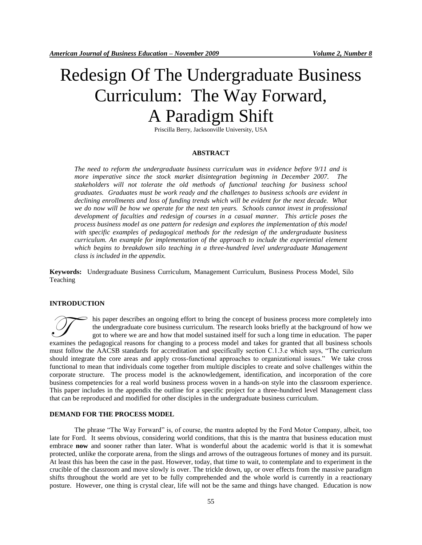# Redesign Of The Undergraduate Business Curriculum: The Way Forward, A Paradigm Shift

Priscilla Berry, Jacksonville University, USA

## **ABSTRACT**

*The need to reform the undergraduate business curriculum was in evidence before 9/11 and is more imperative since the stock market disintegration beginning in December 2007. The stakeholders will not tolerate the old methods of functional teaching for business school graduates. Graduates must be work ready and the challenges to business schools are evident in*  declining enrollments and loss of funding trends which will be evident for the next decade. What we do now will be how we operate for the next ten years. Schools cannot invest in professional *development of faculties and redesign of courses in a casual manner. This article poses the process business model as one pattern for redesign and explores the implementation of this model with specific examples of pedagogical methods for the redesign of the undergraduate business curriculum. An example for implementation of the approach to include the experiential element which begins to breakdown silo teaching in a three-hundred level undergraduate Management class is included in the appendix.*

**Keywords:** Undergraduate Business Curriculum, Management Curriculum, Business Process Model, Silo Teaching

#### **INTRODUCTION**

his paper describes an ongoing effort to bring the concept of business process more completely into the undergraduate core business curriculum. The research looks briefly at the background of how we got to where we are and how that model sustained itself for such a long time in education. The paper It is paper describes an ongoing effort to bring the concept of business process more completely into the undergraduate core business curriculum. The research looks briefly at the background of how we got to where we are a must follow the AACSB standards for accreditation and specifically section C.1.3.e which says, "The curriculum should integrate the core areas and apply cross-functional approaches to organizational issues." We take cross functional to mean that individuals come together from multiple disciples to create and solve challenges within the corporate structure. The process model is the acknowledgement, identification, and incorporation of the core business competencies for a real world business process woven in a hands-on style into the classroom experience. This paper includes in the appendix the outline for a specific project for a three-hundred level Management class that can be reproduced and modified for other disciples in the undergraduate business curriculum.

#### **DEMAND FOR THE PROCESS MODEL**

The phrase "The Way Forward" is, of course, the mantra adopted by the Ford Motor Company, albeit, too late for Ford. It seems obvious, considering world conditions, that this is the mantra that business education must embrace **now** and sooner rather than later. What is wonderful about the academic world is that it is somewhat protected, unlike the corporate arena, from the slings and arrows of the outrageous fortunes of money and its pursuit. At least this has been the case in the past. However, today, that time to wait, to contemplate and to experiment in the crucible of the classroom and move slowly is over. The trickle down, up, or over effects from the massive paradigm shifts throughout the world are yet to be fully comprehended and the whole world is currently in a reactionary posture. However, one thing is crystal clear, life will not be the same and things have changed. Education is now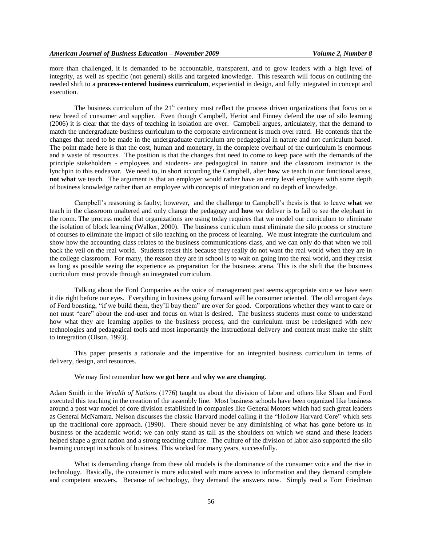more than challenged, it is demanded to be accountable, transparent, and to grow leaders with a high level of integrity, as well as specific (not general) skills and targeted knowledge. This research will focus on outlining the needed shift to a **process-centered business curriculum**, experiential in design, and fully integrated in concept and execution.

The business curriculum of the  $21<sup>st</sup>$  century must reflect the process driven organizations that focus on a new breed of consumer and supplier. Even though Campbell, Heriot and Finney defend the use of silo learning (2006) it is clear that the days of teaching in isolation are over. Campbell argues, articulately, that the demand to match the undergraduate business curriculum to the corporate environment is much over rated. He contends that the changes that need to be made in the undergraduate curriculum are pedagogical in nature and not curriculum based. The point made here is that the cost, human and monetary, in the complete overhaul of the curriculum is enormous and a waste of resources. The position is that the changes that need to come to keep pace with the demands of the principle stakeholders - employees and students- are pedagogical in nature and the classroom instructor is the lynchpin to this endeavor. We need to, in short according the Campbell, alter **how** we teach in our functional areas, **not what** we teach. The argument is that an employer would rather have an entry level employee with some depth of business knowledge rather than an employee with concepts of integration and no depth of knowledge.

Campbell's reasoning is faulty; however, and the challenge to Campbell's thesis is that to leave **what** we teach in the classroom unaltered and only change the pedagogy and **how** we deliver is to fail to see the elephant in the room. The process model that organizations are using today requires that we model our curriculum to eliminate the isolation of block learning (Walker, 2000). The business curriculum must eliminate the silo process or structure of courses to eliminate the impact of silo teaching on the process of learning. We must integrate the curriculum and show how the accounting class relates to the business communications class, and we can only do that when we roll back the veil on the real world. Students resist this because they really do not want the real world when they are in the college classroom. For many, the reason they are in school is to wait on going into the real world, and they resist as long as possible seeing the experience as preparation for the business arena. This is the shift that the business curriculum must provide through an integrated curriculum.

Talking about the Ford Companies as the voice of management past seems appropriate since we have seen it die right before our eyes. Everything in business going forward will be consumer oriented. The old arrogant days of Ford boasting, "if we build them, they'll buy them" are over for good. Corporations whether they want to care or not must "care" about the end-user and focus on what is desired. The business students must come to understand how what they are learning applies to the business process, and the curriculum must be redesigned with new technologies and pedagogical tools and most importantly the instructional delivery and content must make the shift to integration (Olson, 1993).

This paper presents a rationale and the imperative for an integrated business curriculum in terms of delivery, design, and resources.

# We may first remember **how we got here** and **why we are changing**.

Adam Smith in the *Wealth of Nations* (1776) taught us about the division of labor and others like Sloan and Ford executed this teaching in the creation of the assembly line. Most business schools have been organized like business around a post war model of core division established in companies like General Motors which had such great leaders as General McNamara. Nelson discusses the classic Harvard model calling it the "Hollow Harvard Core" which sets up the traditional core approach. (1990). There should never be any diminishing of what has gone before us in business or the academic world; we can only stand as tall as the shoulders on which we stand and these leaders helped shape a great nation and a strong teaching culture. The culture of the division of labor also supported the silo learning concept in schools of business. This worked for many years, successfully.

What is demanding change from these old models is the dominance of the consumer voice and the rise in technology. Basically, the consumer is more educated with more access to information and they demand complete and competent answers. Because of technology, they demand the answers now. Simply read a Tom Friedman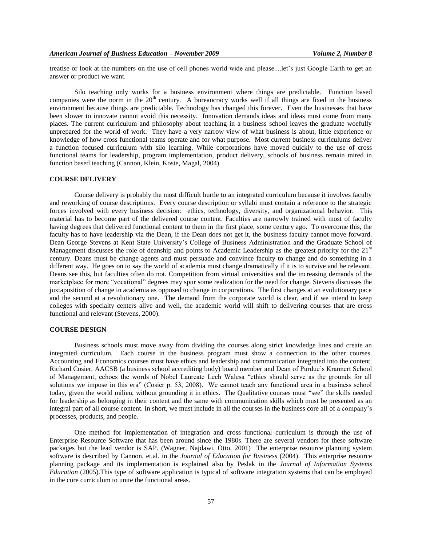treatise or look at the numbers on the use of cell phones world wide and please....let's just Google Earth to get an answer or product we want.

Silo teaching only works for a business environment where things are predictable. Function based companies were the norm in the 20<sup>th</sup> century. A bureaucracy works well if all things are fixed in the business environment because things are predictable. Technology has changed this forever. Even the businesses that have been slower to innovate cannot avoid this necessity. Innovation demands ideas and ideas must come from many places. The current curriculum and philosophy about teaching in a business school leaves the graduate woefully unprepared for the world of work. They have a very narrow view of what business is about, little experience or knowledge of how cross functional teams operate and for what purpose. Most current business curriculums deliver a function focused curriculum with silo learning. While corporations have moved quickly to the use of cross functional teams for leadership, program implementation, product delivery, schools of business remain mired in function based teaching (Cannon, Klein, Koste, Magal, 2004)

#### **COURSE DELIVERY**

Course delivery is probably the most difficult hurtle to an integrated curriculum because it involves faculty and reworking of course descriptions. Every course description or syllabi must contain a reference to the strategic forces involved with every business decision: ethics, technology, diversity, and organizational behavior. This material has to become part of the delivered course content. Faculties are narrowly trained with most of faculty having degrees that delivered functional content to them in the first place, some century ago. To overcome this, the faculty has to have leadership via the Dean, if the Dean does not get it, the business faculty cannot move forward. Dean George Stevens at Kent State University's College of Business Administration and the Graduate School of Management discusses the role of deanship and points to Academic Leadership as the greatest priority for the 21<sup>st</sup> century. Deans must be change agents and must persuade and convince faculty to change and do something in a different way. He goes on to say the world of academia must change dramatically if it is to survive and be relevant. Deans see this, but faculties often do not. Competition from virtual universities and the increasing demands of the marketplace for more "vocational" degrees may spur some realization for the need for change. Stevens discusses the juxtaposition of change in academia as opposed to change in corporations. The first changes at an evolutionary pace and the second at a revolutionary one. The demand from the corporate world is clear, and if we intend to keep colleges with specialty centers alive and well, the academic world will shift to delivering courses that are cross functional and relevant (Stevens, 2000).

## **COURSE DESIGN**

Business schools must move away from dividing the courses along strict knowledge lines and create an integrated curriculum. Each course in the business program must show a connection to the other courses. Accounting and Economics courses must have ethics and leadership and communication integrated into the content. Richard Cosier, AACSB (a business school accrediting body) board member and Dean of Purdue's Krannert School of Management, echoes the words of Nobel Laureate Lech Walesa "ethics should serve as the grounds for all solutions we impose in this era" (Cosier p. 53, 2008). We cannot teach any functional area in a business school today, given the world milieu, without grounding it in ethics. The Qualitative courses must "see" the skills needed for leadership as belonging in their content and the same with communication skills which must be presented as an integral part of all course content. In short, we must include in all the courses in the business core all of a company's processes, products, and people.

One method for implementation of integration and cross functional curriculum is through the use of Enterprise Resource Software that has been around since the 1980s. There are several vendors for these software packages but the lead vendor is SAP. (Wagner, Najdawi, Otto, 2001) The enterprise resource planning system software is described by Cannon, et.al. in the *Journal of Education for Business* (2004). This enterprise resource planning package and its implementation is explained also by Peslak in the *Journal of Information Systems Education* (2005).This type of software application is typical of software integration systems that can be employed in the core curriculum to unite the functional areas.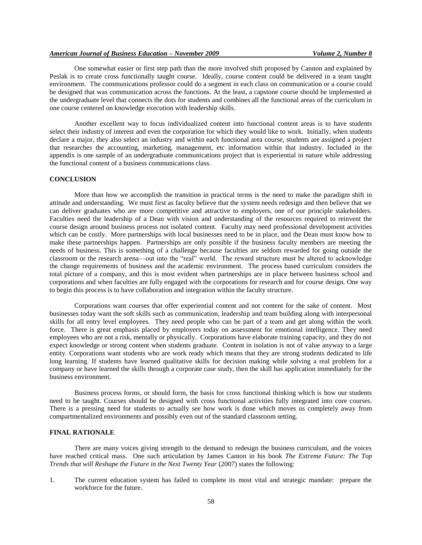One somewhat easier or first step path than the more involved shift proposed by Cannon and explained by Peslak is to create cross functionally taught course. Ideally, course content could be delivered in a team taught environment. The communications professor could do a segment in each class on communication or a course could be designed that was communication across the functions. At the least, a capstone course should be implemented at the undergraduate level that connects the dots for students and combines all the functional areas of the curriculum in one course centered on knowledge execution with leadership skills.

Another excellent way to focus individualized content into functional content areas is to have students select their industry of interest and even the corporation for which they would like to work. Initially, when students declare a major, they also select an industry and within each functional area course, students are assigned a project that researches the accounting, marketing, management, etc information within that industry. Included in the appendix is one sample of an undergraduate communications project that is experiential in nature while addressing the functional content of a business communications class.

#### **CONCLUSION**

More than how we accomplish the transition in practical terms is the need to make the paradigm shift in attitude and understanding. We must first as faculty believe that the system needs redesign and then believe that we can deliver graduates who are more competitive and attractive to employers, one of our principle stakeholders. Faculties need the leadership of a Dean with vision and understanding of the resources required to reinvent the course design around business process not isolated content. Faculty may need professional development activities which can be costly. More partnerships with local businesses need to be in place, and the Dean must know how to make these partnerships happen. Partnerships are only possible if the business faculty members are meeting the needs of business. This is something of a challenge because faculties are seldom rewarded for going outside the classroom or the research arena—out into the "real" world. The reward structure must be altered to acknowledge the change requirements of business and the academic environment. The process based curriculum considers the total picture of a company, and this is most evident when partnerships are in place between business school and corporations and when faculties are fully engaged with the corporations for research and for course design. One way to begin this process is to have collaboration and integration within the faculty structure.

Corporations want courses that offer experiential content and not content for the sake of content. Most businesses today want the soft skills such as communication, leadership and team building along with interpersonal skills for all entry level employees. They need people who can be part of a team and get along within the work force. There is great emphasis placed by employers today on assessment for emotional intelligence. They need employees who are not a risk, mentally or physically. Corporations have elaborate training capacity, and they do not expect knowledge or strong content when students graduate. Content in isolation is not of value anyway to a large entity. Corporations want students who are work ready which means that they are strong students dedicated to life long learning. If students have learned qualitative skills for decision making while solving a real problem for a company or have learned the skills through a corporate case study, then the skill has application immediately for the business environment.

Business process forms, or should form, the basis for cross functional thinking which is how our students need to be taught. Courses should be designed with cross functional activities fully integrated into core courses. There is a pressing need for students to actually see how work is done which moves us completely away from compartmentalized environments and possibly even out of the standard classroom setting.

#### **FINAL RATIONALE**

There are many voices giving strength to the demand to redesign the business curriculum, and the voices have reached critical mass. One such articulation by James Canton in his book *The Extreme Future: The Top Trends that will Reshape the Future in the Next Twenty Year* (2007) states the following:

1. The current education system has failed to complete its most vital and strategic mandate: prepare the workforce for the future.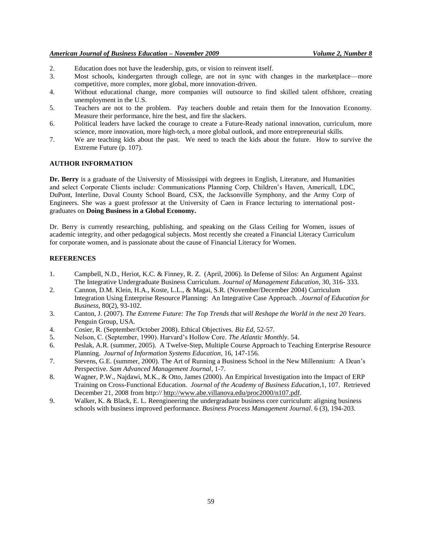## *American Journal of Business Education – November 2009 Volume 2, Number 8*

- 2. Education does not have the leadership, guts, or vision to reinvent itself.
- 3. Most schools, kindergarten through college, are not in sync with changes in the marketplace—more competitive, more complex, more global, more innovation-driven.
- 4. Without educational change, more companies will outsource to find skilled talent offshore, creating unemployment in the U.S.
- 5. Teachers are not to the problem. Pay teachers double and retain them for the Innovation Economy. Measure their performance, hire the best, and fire the slackers.
- 6. Political leaders have lacked the courage to create a Future-Ready national innovation, curriculum, more science, more innovation, more high-tech, a more global outlook, and more entrepreneurial skills.
- 7. We are teaching kids about the past. We need to teach the kids about the future. How to survive the Extreme Future (p. 107).

#### **AUTHOR INFORMATION**

**Dr. Berry** is a graduate of the University of Mississippi with degrees in English, Literature, and Humanities and select Corporate Clients include: Communications Planning Corp, Children's Haven, Americall, LDC, DuPont, Interline, Duval County School Board, CSX, the Jacksonville Symphony, and the Army Corp of Engineers. She was a guest professor at the University of Caen in France lecturing to international postgraduates on **Doing Business in a Global Economy.**

Dr. Berry is currently researching, publishing, and speaking on the Glass Ceiling for Women, issues of academic integrity, and other pedagogical subjects. Most recently she created a Financial Literacy Curriculum for corporate women, and is passionate about the cause of Financial Literacy for Women.

## **REFERENCES**

- 1. Campbell, N.D., Heriot, K.C. & Finney, R. Z. (April, 2006). In Defense of Silos: An Argument Against The Integrative Undergraduate Business Curriculum. *Journal of Management Education*, 30, 316- 333.
- 2. Cannon, D.M. Klein, H.A., Koste, L.L., & Magai, S.R. (November/December 2004) Curriculum Integration Using Enterprise Resource Planning: An Integrative Case Approach. .*Journal of Education for Business*, 80(2), 93-102.
- 3. Canton, J. (2007). *The Extreme Future: The Top Trends that will Reshape the World in the next 20 Years*. Penguin Group, USA.
- 4. Cosier, R. (September/October 2008). Ethical Objectives. *Biz Ed*, 52-57.
- 5. Nelson, C. (September, 1990). Harvard's Hollow Core. *The Atlantic Monthly*. 54.
- 6. Peslak, A.R. (summer, 2005). A Twelve-Step, Multiple Course Approach to Teaching Enterprise Resource Planning. *Journal of Information Systems Education*, 16, 147-156.
- 7. Stevens, G.E. (summer, 2000). The Art of Running a Business School in the New Millennium: A Dean's Perspective. *Sam Advanced Management Journal*, 1-7.
- 8. Wagner, P.W., Najdawi, M.K., & Otto, James (2000). An Empirical Investigation into the Impact of ERP Training on Cross-Functional Education. *Journal of the Academy of Business Education*,1, 107. Retrieved December 21, 2008 from http:// [http://www.abe.villanova.edu/proc2000/n107.pdf.](http://www.abe.villanova.edu/proc2000/n107.pdf)
- 9. Walker, K. & Black, E. L. Reengineering the undergraduate business core curriculum: aligning business schools with business improved performance. *Business Process Management Journal*. 6 (3), 194-203.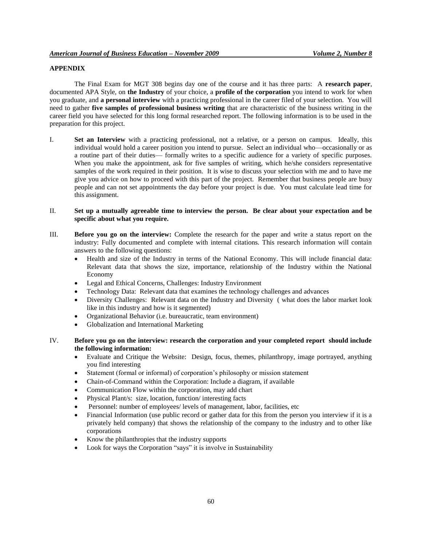# **APPENDIX**

The Final Exam for MGT 308 begins day one of the course and it has three parts: A **research paper**, documented APA Style, on **the Industry** of your choice, a **profile of the corporation** you intend to work for when you graduate, and **a personal interview** with a practicing professional in the career filed of your selection. You will need to gather **five samples of professional business writing** that are characteristic of the business writing in the career field you have selected for this long formal researched report. The following information is to be used in the preparation for this project.

I. **Set an Interview** with a practicing professional, not a relative, or a person on campus. Ideally, this individual would hold a career position you intend to pursue. Select an individual who—occasionally or as a routine part of their duties— formally writes to a specific audience for a variety of specific purposes. When you make the appointment, ask for five samples of writing, which he/she considers representative samples of the work required in their position. It is wise to discuss your selection with me and to have me give you advice on how to proceed with this part of the project. Remember that business people are busy people and can not set appointments the day before your project is due. You must calculate lead time for this assignment.

## II. **Set up a mutually agreeable time to interview the person. Be clear about your expectation and be specific about what you require.**

- III. **Before you go on the interview:** Complete the research for the paper and write a status report on the industry: Fully documented and complete with internal citations. This research information will contain answers to the following questions:
	- Health and size of the Industry in terms of the National Economy. This will include financial data: Relevant data that shows the size, importance, relationship of the Industry within the National Economy
	- Legal and Ethical Concerns, Challenges: Industry Environment
	- Technology Data: Relevant data that examines the technology challenges and advances
	- Diversity Challenges: Relevant data on the Industry and Diversity ( what does the labor market look like in this industry and how is it segmented)
	- Organizational Behavior (i.e. bureaucratic, team environment)
	- Globalization and International Marketing
- IV. **Before you go on the interview: research the corporation and your completed report should include the following information:** 
	- Evaluate and Critique the Website: Design, focus, themes, philanthropy, image portrayed, anything you find interesting
	- Statement (formal or informal) of corporation's philosophy or mission statement
	- Chain-of-Command within the Corporation: Include a diagram, if available
	- Communication Flow within the corporation, may add chart
	- Physical Plant/s: size, location, function/ interesting facts
	- Personnel: number of employees/ levels of management, labor, facilities, etc
	- Financial Information (use public record or gather data for this from the person you interview if it is a privately held company) that shows the relationship of the company to the industry and to other like corporations
	- Know the philanthropies that the industry supports
	- Look for ways the Corporation "says" it is involve in Sustainability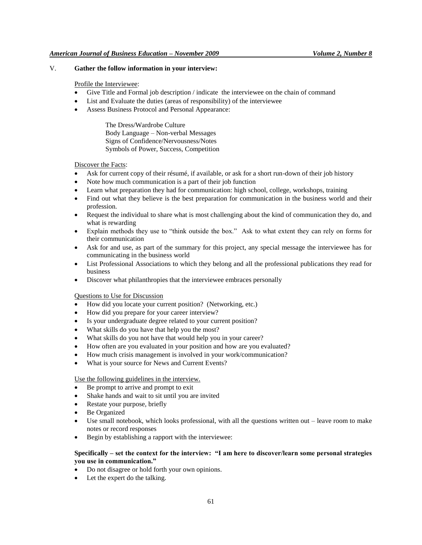## V. **Gather the follow information in your interview:**

#### Profile the Interviewee:

- Give Title and Formal job description / indicate the interviewee on the chain of command
- List and Evaluate the duties (areas of responsibility) of the interviewee
- Assess Business Protocol and Personal Appearance:

The Dress/Wardrobe Culture Body Language – Non-verbal Messages Signs of Confidence/Nervousness/Notes Symbols of Power, Success, Competition

#### Discover the Facts:

- Ask for current copy of their résumé, if available, or ask for a short run-down of their job history
- Note how much communication is a part of their job function
- Learn what preparation they had for communication: high school, college, workshops, training
- Find out what they believe is the best preparation for communication in the business world and their profession.
- Request the individual to share what is most challenging about the kind of communication they do, and what is rewarding
- Explain methods they use to "think outside the box." Ask to what extent they can rely on forms for their communication
- Ask for and use, as part of the summary for this project, any special message the interviewee has for communicating in the business world
- List Professional Associations to which they belong and all the professional publications they read for business
- Discover what philanthropies that the interviewee embraces personally

## Questions to Use for Discussion

- How did you locate your current position? (Networking, etc.)
- How did you prepare for your career interview?
- Is your undergraduate degree related to your current position?
- What skills do you have that help you the most?
- What skills do you not have that would help you in your career?
- How often are you evaluated in your position and how are you evaluated?
- How much crisis management is involved in your work/communication?
- What is your source for News and Current Events?

#### Use the following guidelines in the interview.

- Be prompt to arrive and prompt to exit
- Shake hands and wait to sit until you are invited
- Restate your purpose, briefly
- Be Organized
- Use small notebook, which looks professional, with all the questions written out leave room to make notes or record responses
- Begin by establishing a rapport with the interviewee:

## **Specifically – set the context for the interview: "I am here to discover/learn some personal strategies you use in communication."**

- Do not disagree or hold forth your own opinions.
- Let the expert do the talking.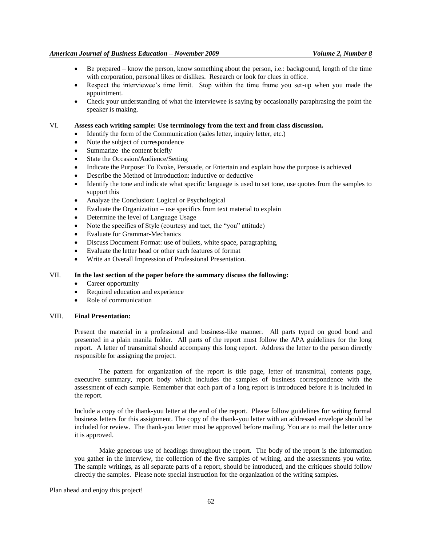#### *American Journal of Business Education – November 2009 Volume 2, Number 8*

- Be prepared know the person, know something about the person, i.e.: background, length of the time with corporation, personal likes or dislikes. Research or look for clues in office.
- Respect the interviewee's time limit. Stop within the time frame you set-up when you made the appointment.
- Check your understanding of what the interviewee is saying by occasionally paraphrasing the point the speaker is making.

### VI. **Assess each writing sample: Use terminology from the text and from class discussion.**

- Identify the form of the Communication (sales letter, inquiry letter, etc.)
- Note the subject of correspondence
- Summarize the content briefly
- State the Occasion/Audience/Setting
- Indicate the Purpose: To Evoke, Persuade, or Entertain and explain how the purpose is achieved
- Describe the Method of Introduction: inductive or deductive
- Identify the tone and indicate what specific language is used to set tone, use quotes from the samples to support this
- Analyze the Conclusion: Logical or Psychological
- Evaluate the Organization use specifics from text material to explain
- Determine the level of Language Usage
- Note the specifics of Style (courtesy and tact, the "you" attitude)
- Evaluate for Grammar-Mechanics
- Discuss Document Format: use of bullets, white space, paragraphing,
- Evaluate the letter head or other such features of format
- Write an Overall Impression of Professional Presentation.

### VII. **In the last section of the paper before the summary discuss the following:**

- Career opportunity
- Required education and experience
- Role of communication

#### VIII. **Final Presentation:**

Present the material in a professional and business-like manner. All parts typed on good bond and presented in a plain manila folder. All parts of the report must follow the APA guidelines for the long report. A letter of transmittal should accompany this long report. Address the letter to the person directly responsible for assigning the project.

The pattern for organization of the report is title page, letter of transmittal, contents page, executive summary, report body which includes the samples of business correspondence with the assessment of each sample. Remember that each part of a long report is introduced before it is included in the report.

Include a copy of the thank-you letter at the end of the report. Please follow guidelines for writing formal business letters for this assignment. The copy of the thank-you letter with an addressed envelope should be included for review. The thank-you letter must be approved before mailing. You are to mail the letter once it is approved.

Make generous use of headings throughout the report. The body of the report is the information you gather in the interview, the collection of the five samples of writing, and the assessments you write. The sample writings, as all separate parts of a report, should be introduced, and the critiques should follow directly the samples. Please note special instruction for the organization of the writing samples.

Plan ahead and enjoy this project!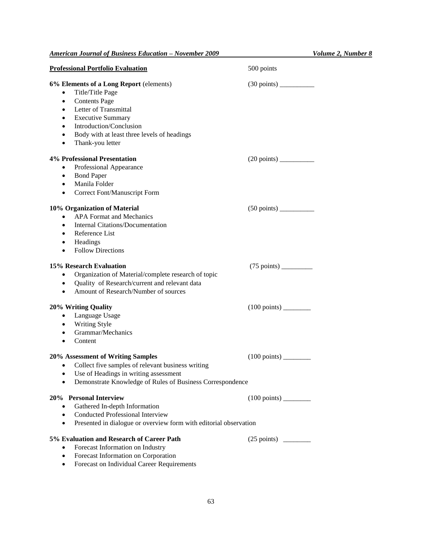| <b>Professional Portfolio Evaluation</b>                                                                                                                                                                                                                                                   | 500 points                                  |
|--------------------------------------------------------------------------------------------------------------------------------------------------------------------------------------------------------------------------------------------------------------------------------------------|---------------------------------------------|
| 6% Elements of a Long Report (elements)<br>Title/Title Page<br><b>Contents Page</b><br>$\bullet$<br>Letter of Transmittal<br>$\bullet$<br><b>Executive Summary</b><br>$\bullet$<br>Introduction/Conclusion<br>Body with at least three levels of headings<br>Thank-you letter<br>$\bullet$ |                                             |
| <b>4% Professional Presentation</b><br>Professional Appearance<br><b>Bond Paper</b><br>٠<br>Manila Folder<br>$\bullet$<br>Correct Font/Manuscript Form<br>$\bullet$                                                                                                                        |                                             |
| 10% Organization of Material<br><b>APA Format and Mechanics</b><br><b>Internal Citations/Documentation</b><br>$\bullet$<br>Reference List<br>$\bullet$<br>Headings<br>$\bullet$<br><b>Follow Directions</b>                                                                                |                                             |
| 15% Research Evaluation<br>Organization of Material/complete research of topic<br>$\bullet$<br>Quality of Research/current and relevant data<br>$\bullet$<br>Amount of Research/Number of sources<br>$\bullet$                                                                             |                                             |
| 20% Writing Quality<br>Language Usage<br>$\bullet$<br><b>Writing Style</b><br>$\bullet$<br>Grammar/Mechanics<br>$\bullet$<br>Content<br>$\bullet$                                                                                                                                          | $(100 \text{ points})$ <sub>_________</sub> |
| 20% Assessment of Writing Samples<br>Collect five samples of relevant business writing<br>$\bullet$<br>Use of Headings in writing assessment<br>Demonstrate Knowledge of Rules of Business Correspondence                                                                                  | $(100 \text{ points})$                      |
| 20% Personal Interview<br>Gathered In-depth Information<br>$\bullet$<br><b>Conducted Professional Interview</b><br>Presented in dialogue or overview form with editorial observation<br>$\bullet$                                                                                          |                                             |
| 5% Evaluation and Research of Career Path<br>Forecast Information on Industry<br>$\bullet$<br>Forecast Information on Corporation<br>$\bullet$<br>Forecast on Individual Career Requirements                                                                                               |                                             |